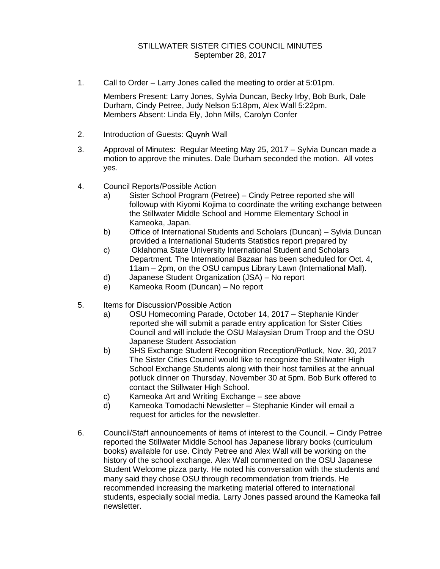1. Call to Order – Larry Jones called the meeting to order at 5:01pm.

Members Present: Larry Jones, Sylvia Duncan, Becky Irby, Bob Burk, Dale Durham, Cindy Petree, Judy Nelson 5:18pm, Alex Wall 5:22pm. Members Absent: Linda Ely, John Mills, Carolyn Confer

- 2. Introduction of Guests: Quynh Wall
- 3. Approval of Minutes: Regular Meeting May 25, 2017 Sylvia Duncan made a motion to approve the minutes. Dale Durham seconded the motion. All votes yes.
- 4. Council Reports/Possible Action
	- a) Sister School Program (Petree) Cindy Petree reported she will followup with Kiyomi Kojima to coordinate the writing exchange between the Stillwater Middle School and Homme Elementary School in Kameoka, Japan.
	- b) Office of International Students and Scholars (Duncan) Sylvia Duncan provided a International Students Statistics report prepared by
	- c) Oklahoma State University International Student and Scholars Department. The International Bazaar has been scheduled for Oct. 4, 11am – 2pm, on the OSU campus Library Lawn (International Mall).
	- d) Japanese Student Organization (JSA) No report
	- e) Kameoka Room (Duncan) No report
- 5. Items for Discussion/Possible Action
	- a) OSU Homecoming Parade, October 14, 2017 Stephanie Kinder reported she will submit a parade entry application for Sister Cities Council and will include the OSU Malaysian Drum Troop and the OSU Japanese Student Association
	- b) SHS Exchange Student Recognition Reception/Potluck, Nov. 30, 2017 The Sister Cities Council would like to recognize the Stillwater High School Exchange Students along with their host families at the annual potluck dinner on Thursday, November 30 at 5pm. Bob Burk offered to contact the Stillwater High School.
	- c) Kameoka Art and Writing Exchange see above
	- d) Kameoka Tomodachi Newsletter Stephanie Kinder will email a request for articles for the newsletter.
- 6. Council/Staff announcements of items of interest to the Council. Cindy Petree reported the Stillwater Middle School has Japanese library books (curriculum books) available for use. Cindy Petree and Alex Wall will be working on the history of the school exchange. Alex Wall commented on the OSU Japanese Student Welcome pizza party. He noted his conversation with the students and many said they chose OSU through recommendation from friends. He recommended increasing the marketing material offered to international students, especially social media. Larry Jones passed around the Kameoka fall newsletter.